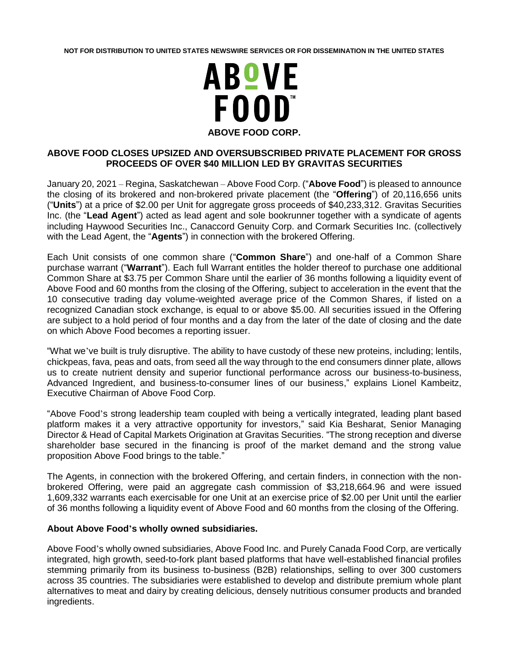**NOT FOR DISTRIBUTION TO UNITED STATES NEWSWIRE SERVICES OR FOR DISSEMINATION IN THE UNITED STATES**



## **ABOVE FOOD CLOSES UPSIZED AND OVERSUBSCRIBED PRIVATE PLACEMENT FOR GROSS PROCEEDS OF OVER \$40 MILLION LED BY GRAVITAS SECURITIES**

January 20, 2021 – Regina, Saskatchewan – Above Food Corp. ("**Above Food**") is pleased to announce the closing of its brokered and non-brokered private placement (the "**Offering**") of 20,116,656 units ("**Units**") at a price of \$2.00 per Unit for aggregate gross proceeds of \$40,233,312. Gravitas Securities Inc. (the "**Lead Agent**") acted as lead agent and sole bookrunner together with a syndicate of agents including Haywood Securities Inc., Canaccord Genuity Corp. and Cormark Securities Inc. (collectively with the Lead Agent, the "**Agents**") in connection with the brokered Offering.

Each Unit consists of one common share ("**Common Share**") and one-half of a Common Share purchase warrant ("**Warrant**"). Each full Warrant entitles the holder thereof to purchase one additional Common Share at \$3.75 per Common Share until the earlier of 36 months following a liquidity event of Above Food and 60 months from the closing of the Offering, subject to acceleration in the event that the 10 consecutive trading day volume-weighted average price of the Common Shares, if listed on a recognized Canadian stock exchange, is equal to or above \$5.00. All securities issued in the Offering are subject to a hold period of four months and a day from the later of the date of closing and the date on which Above Food becomes a reporting issuer.

"What we've built is truly disruptive. The ability to have custody of these new proteins, including; lentils, chickpeas, fava, peas and oats, from seed all the way through to the end consumers dinner plate, allows us to create nutrient density and superior functional performance across our business-to-business, Advanced Ingredient, and business-to-consumer lines of our business," explains Lionel Kambeitz, Executive Chairman of Above Food Corp.

"Above Food's strong leadership team coupled with being a vertically integrated, leading plant based platform makes it a very attractive opportunity for investors," said Kia Besharat, Senior Managing Director & Head of Capital Markets Origination at Gravitas Securities. "The strong reception and diverse shareholder base secured in the financing is proof of the market demand and the strong value proposition Above Food brings to the table."

The Agents, in connection with the brokered Offering, and certain finders, in connection with the nonbrokered Offering, were paid an aggregate cash commission of \$3,218,664.96 and were issued 1,609,332 warrants each exercisable for one Unit at an exercise price of \$2.00 per Unit until the earlier of 36 months following a liquidity event of Above Food and 60 months from the closing of the Offering.

## **About Above Food's wholly owned subsidiaries.**

Above Food's wholly owned subsidiaries, Above Food Inc. and Purely Canada Food Corp, are vertically integrated, high growth, seed-to-fork plant based platforms that have well-established financial profiles stemming primarily from its business to-business (B2B) relationships, selling to over 300 customers across 35 countries. The subsidiaries were established to develop and distribute premium whole plant alternatives to meat and dairy by creating delicious, densely nutritious consumer products and branded ingredients.